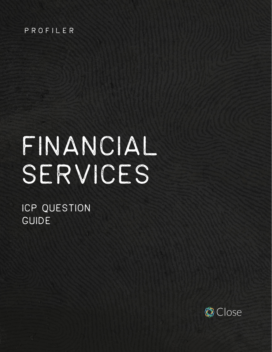#### PROFILER

# FINANCIAL SERVICES

# ICP QUESTION GUIDE

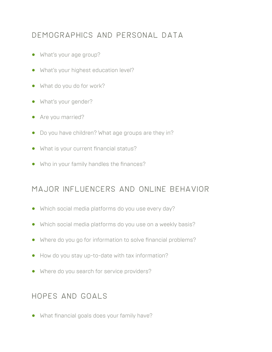# Demographics and personal data

- **•** What's your age group?
- **•** What's your highest education level?
- **•** What do you do for work?
- **•** What's your gender?
- **•** Are you married?
- **•** Do you have children? What age groups are they in?
- **•** What is your current financial status?
- **•** Who in your family handles the finances?

#### Major influencers and online behavior

- **•** Which social media platforms do you use every day?
- **•** Which social media platforms do you use on a weekly basis?
- **•** Where do you go for information to solve financial problems?
- **•** How do you stay up-to-date with tax information?
- **•** Where do you search for service providers?

#### Hopes and goals

**•** What financial goals does your family have?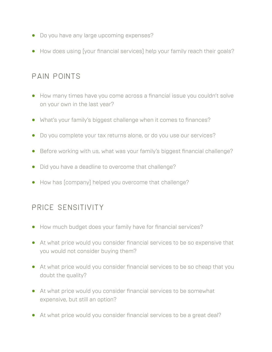- **•** Do you have any large upcoming expenses?
- **•** How does using [your financial services] help your family reach their goals?

#### pain points

- **•** How many times have you come across a financial issue you couldn't solve on your own in the last year?
- **•** What's your family's biggest challenge when it comes to finances?
- **•** Do you complete your tax returns alone, or do you use our services?
- **•** Before working with us, what was your family's biggest financial challenge?
- **•** Did you have a deadline to overcome that challenge?
- **•** How has [company] helped you overcome that challenge?

# Price sensitivity

- **•** How much budget does your family have for financial services?
- **•** At what price would you consider financial services to be so expensive that you would not consider buying them?
- **•** At what price would you consider financial services to be so cheap that you doubt the quality?
- **•** At what price would you consider financial services to be somewhat expensive, but still an option?
- **•** At what price would you consider financial services to be a great deal?